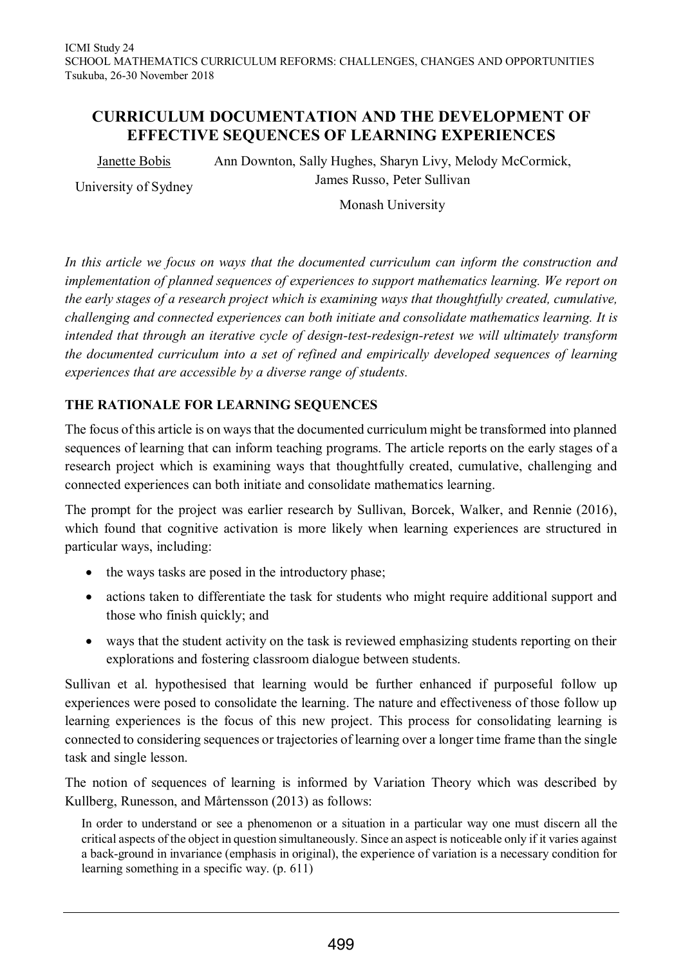# **CURRICULUM DOCUMENTATION AND THE DEVELOPMENT OF EFFECTIVE SEQUENCES OF LEARNING EXPERIENCES**

Janette Bobis

Ann Downton, Sally Hughes, Sharyn Livy, Melody McCormick, James Russo, Peter Sullivan

University of Sydney

Monash University

*In this article we focus on ways that the documented curriculum can inform the construction and implementation of planned sequences of experiences to support mathematics learning. We report on the early stages of a research project which is examining ways that thoughtfully created, cumulative, challenging and connected experiences can both initiate and consolidate mathematics learning. It is intended that through an iterative cycle of design-test-redesign-retest we will ultimately transform the documented curriculum into a set of refined and empirically developed sequences of learning experiences that are accessible by a diverse range of students.*

## **THE RATIONALE FOR LEARNING SEQUENCES**

The focus of this article is on ways that the documented curriculum might be transformed into planned sequences of learning that can inform teaching programs. The article reports on the early stages of a research project which is examining ways that thoughtfully created, cumulative, challenging and connected experiences can both initiate and consolidate mathematics learning.

The prompt for the project was earlier research by Sullivan, Borcek, Walker, and Rennie (2016), which found that cognitive activation is more likely when learning experiences are structured in particular ways, including:

- $\bullet$  the ways tasks are posed in the introductory phase;
- actions taken to differentiate the task for students who might require additional support and those who finish quickly; and
- ways that the student activity on the task is reviewed emphasizing students reporting on their explorations and fostering classroom dialogue between students.

Sullivan et al. hypothesised that learning would be further enhanced if purposeful follow up experiences were posed to consolidate the learning. The nature and effectiveness of those follow up learning experiences is the focus of this new project. This process for consolidating learning is connected to considering sequences or trajectories of learning over a longer time frame than the single task and single lesson.

The notion of sequences of learning is informed by Variation Theory which was described by Kullberg, Runesson, and Mårtensson (2013) as follows:

In order to understand or see a phenomenon or a situation in a particular way one must discern all the critical aspects of the object in question simultaneously. Since an aspect is noticeable only if it varies against a back-ground in invariance (emphasis in original), the experience of variation is a necessary condition for learning something in a specific way. (p. 611)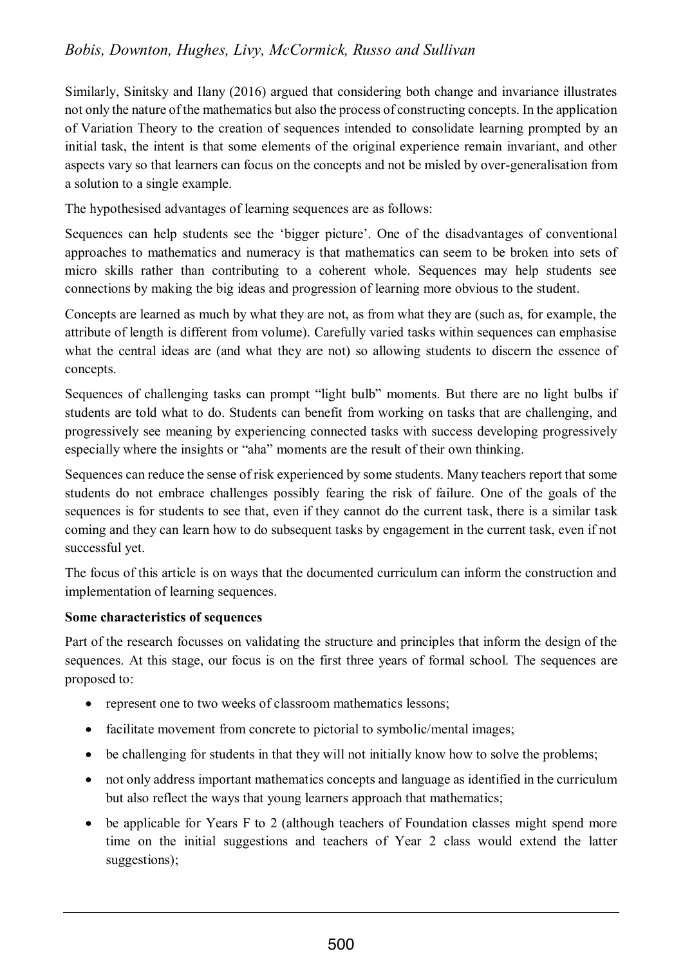# *Bobis, Downton, Hughes, Livy, McCormick, Russo and Sullivan*

Similarly, Sinitsky and Ilany (2016) argued that considering both change and invariance illustrates not only the nature of the mathematics but also the process of constructing concepts. In the application of Variation Theory to the creation of sequences intended to consolidate learning prompted by an initial task, the intent is that some elements of the original experience remain invariant, and other aspects vary so that learners can focus on the concepts and not be misled by over-generalisation from a solution to a single example.

The hypothesised advantages of learning sequences are as follows:

Sequences can help students see the 'bigger picture'. One of the disadvantages of conventional approaches to mathematics and numeracy is that mathematics can seem to be broken into sets of micro skills rather than contributing to a coherent whole. Sequences may help students see connections by making the big ideas and progression of learning more obvious to the student.

Concepts are learned as much by what they are not, as from what they are (such as, for example, the attribute of length is different from volume). Carefully varied tasks within sequences can emphasise what the central ideas are (and what they are not) so allowing students to discern the essence of concepts.

Sequences of challenging tasks can prompt "light bulb" moments. But there are no light bulbs if students are told what to do. Students can benefit from working on tasks that are challenging, and progressively see meaning by experiencing connected tasks with success developing progressively especially where the insights or "aha" moments are the result of their own thinking.

Sequences can reduce the sense of risk experienced by some students. Many teachers report that some students do not embrace challenges possibly fearing the risk of failure. One of the goals of the sequences is for students to see that, even if they cannot do the current task, there is a similar task coming and they can learn how to do subsequent tasks by engagement in the current task, even if not successful yet.

The focus of this article is on ways that the documented curriculum can inform the construction and implementation of learning sequences.

### **Some characteristics of sequences**

Part of the research focusses on validating the structure and principles that inform the design of the sequences. At this stage, our focus is on the first three years of formal school. The sequences are proposed to:

- represent one to two weeks of classroom mathematics lessons;
- facilitate movement from concrete to pictorial to symbolic/mental images;
- $\bullet$  be challenging for students in that they will not initially know how to solve the problems;
- not only address important mathematics concepts and language as identified in the curriculum but also reflect the ways that young learners approach that mathematics;
- be applicable for Years F to 2 (although teachers of Foundation classes might spend more time on the initial suggestions and teachers of Year 2 class would extend the latter suggestions);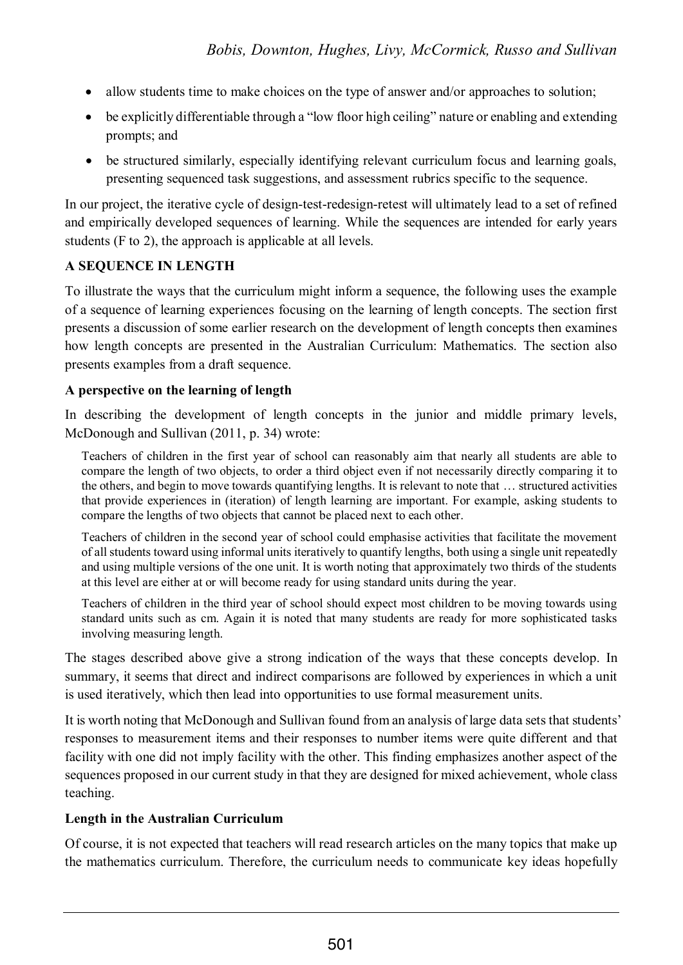- allow students time to make choices on the type of answer and/or approaches to solution;
- be explicitly differentiable through a "low floor high ceiling" nature or enabling and extending prompts; and
- be structured similarly, especially identifying relevant curriculum focus and learning goals, presenting sequenced task suggestions, and assessment rubrics specific to the sequence.

In our project, the iterative cycle of design-test-redesign-retest will ultimately lead to a set of refined and empirically developed sequences of learning. While the sequences are intended for early years students (F to 2), the approach is applicable at all levels.

## **A SEQUENCE IN LENGTH**

To illustrate the ways that the curriculum might inform a sequence, the following uses the example of a sequence of learning experiences focusing on the learning of length concepts. The section first presents a discussion of some earlier research on the development of length concepts then examines how length concepts are presented in the Australian Curriculum: Mathematics. The section also presents examples from a draft sequence.

## **A perspective on the learning of length**

In describing the development of length concepts in the junior and middle primary levels, McDonough and Sullivan (2011, p. 34) wrote:

Teachers of children in the first year of school can reasonably aim that nearly all students are able to compare the length of two objects, to order a third object even if not necessarily directly comparing it to the others, and begin to move towards quantifying lengths. It is relevant to note that … structured activities that provide experiences in (iteration) of length learning are important. For example, asking students to compare the lengths of two objects that cannot be placed next to each other.

Teachers of children in the second year of school could emphasise activities that facilitate the movement of all students toward using informal units iteratively to quantify lengths, both using a single unit repeatedly and using multiple versions of the one unit. It is worth noting that approximately two thirds of the students at this level are either at or will become ready for using standard units during the year.

Teachers of children in the third year of school should expect most children to be moving towards using standard units such as cm. Again it is noted that many students are ready for more sophisticated tasks involving measuring length.

The stages described above give a strong indication of the ways that these concepts develop. In summary, it seems that direct and indirect comparisons are followed by experiences in which a unit is used iteratively, which then lead into opportunities to use formal measurement units.

It is worth noting that McDonough and Sullivan found from an analysis of large data sets that students' responses to measurement items and their responses to number items were quite different and that facility with one did not imply facility with the other. This finding emphasizes another aspect of the sequences proposed in our current study in that they are designed for mixed achievement, whole class teaching.

## **Length in the Australian Curriculum**

Of course, it is not expected that teachers will read research articles on the many topics that make up the mathematics curriculum. Therefore, the curriculum needs to communicate key ideas hopefully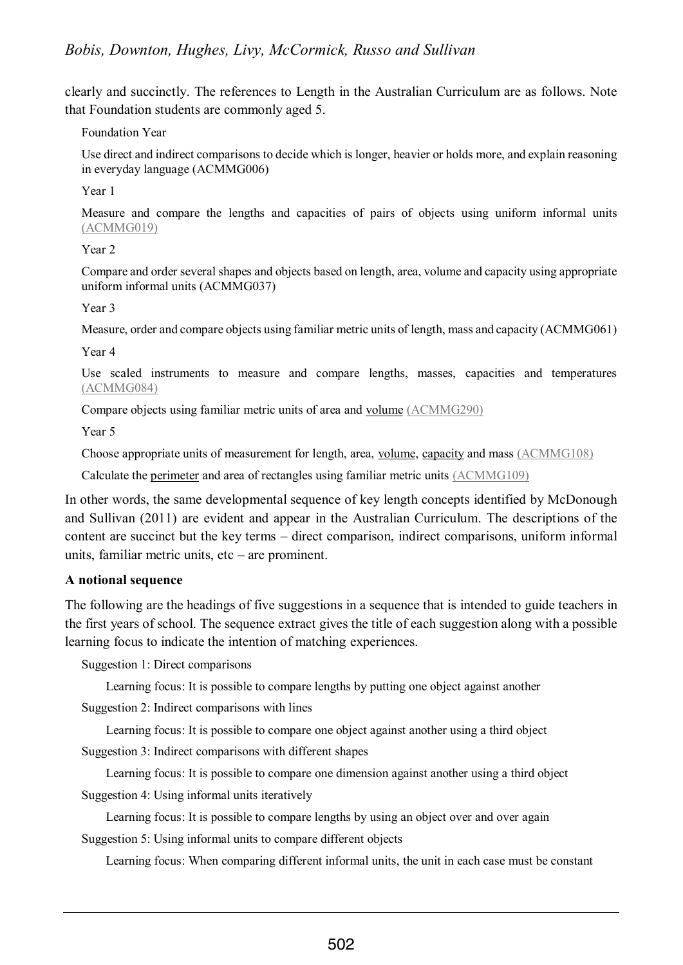clearly and succinctly. The references to Length in the Australian Curriculum are as follows. Note that Foundation students are commonly aged 5.

#### Foundation Year

Use direct and indirect comparisons to decide which is longer, heavier or holds more, and explain reasoning in everyday language (ACMMG006)

Year 1

Measure and compare the lengths and capacities of pairs of objects using uniform informal units [\(ACMMG019\)](http://www.australiancurriculum.edu.au/curriculum/contentdescription/ACMMG019)

#### Year 2

Compare and order several shapes and objects based on length, area, volume and capacity using appropriate uniform informal units (ACMMG037)

#### Year 3

Measure, order and compare objects using familiar metric units of length, mass and capacity (ACMMG061)

Year 4

Use scaled instruments to measure and compare lengths, masses, capacities and temperatures [\(ACMMG084\)](http://www.australiancurriculum.edu.au/curriculum/contentdescription/ACMMG084)

Compare objects using familiar metric units of area and [volume](http://www.australiancurriculum.edu.au/glossary/popup?a=M&t=Volume) [\(ACMMG290\)](http://www.australiancurriculum.edu.au/curriculum/contentdescription/ACMMG290)

Year 5

Choose appropriate units of measurement for length, area, [volume,](http://www.australiancurriculum.edu.au/glossary/popup?a=M&t=Volume) [capacity](http://www.australiancurriculum.edu.au/glossary/popup?a=M&t=Capacity) and mass [\(ACMMG108\)](http://www.australiancurriculum.edu.au/curriculum/contentdescription/ACMMG108)

Calculate the [perimeter](http://www.australiancurriculum.edu.au/glossary/popup?a=M&t=Perimeter) and area of rectangles using familiar metric units [\(ACMMG109\)](http://www.australiancurriculum.edu.au/curriculum/contentdescription/ACMMG109)

In other words, the same developmental sequence of key length concepts identified by McDonough and Sullivan (2011) are evident and appear in the Australian Curriculum. The descriptions of the content are succinct but the key terms – direct comparison, indirect comparisons, uniform informal units, familiar metric units, etc – are prominent.

### **A notional sequence**

The following are the headings of five suggestions in a sequence that is intended to guide teachers in the first years of school. The sequence extract gives the title of each suggestion along with a possible learning focus to indicate the intention of matching experiences.

Suggestion 1: Direct comparisons

Learning focus: It is possible to compare lengths by putting one object against another

Suggestion 2: Indirect comparisons with lines

Learning focus: It is possible to compare one object against another using a third object

Suggestion 3: Indirect comparisons with different shapes

Learning focus: It is possible to compare one dimension against another using a third object

Suggestion 4: Using informal units iteratively

Learning focus: It is possible to compare lengths by using an object over and over again Suggestion 5: Using informal units to compare different objects

Learning focus: When comparing different informal units, the unit in each case must be constant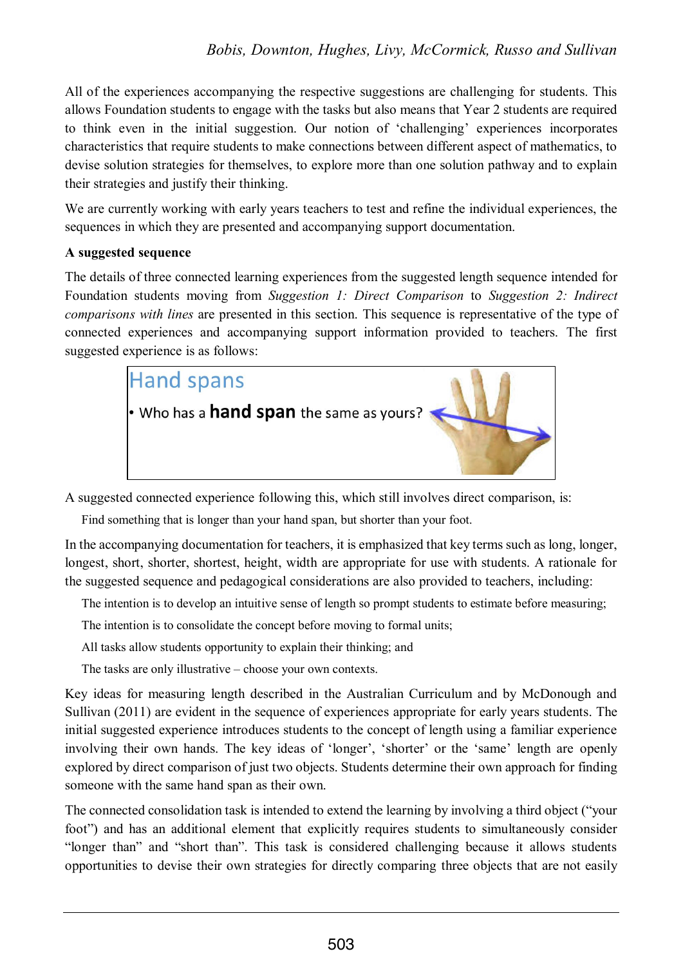All of the experiences accompanying the respective suggestions are challenging for students. This allows Foundation students to engage with the tasks but also means that Year 2 students are required to think even in the initial suggestion. Our notion of 'challenging' experiences incorporates characteristics that require students to make connections between different aspect of mathematics, to devise solution strategies for themselves, to explore more than one solution pathway and to explain their strategies and justify their thinking.

We are currently working with early years teachers to test and refine the individual experiences, the sequences in which they are presented and accompanying support documentation.

### **A suggested sequence**

The details of three connected learning experiences from the suggested length sequence intended for Foundation students moving from *Suggestion 1: Direct Comparison* to *Suggestion 2: Indirect comparisons with lines* are presented in this section. This sequence is representative of the type of connected experiences and accompanying support information provided to teachers. The first suggested experience is as follows:



A suggested connected experience following this, which still involves direct comparison, is:

Find something that is longer than your hand span, but shorter than your foot.

In the accompanying documentation for teachers, it is emphasized that key terms such as long, longer, longest, short, shorter, shortest, height, width are appropriate for use with students. A rationale for the suggested sequence and pedagogical considerations are also provided to teachers, including:

The intention is to develop an intuitive sense of length so prompt students to estimate before measuring;

The intention is to consolidate the concept before moving to formal units;

All tasks allow students opportunity to explain their thinking; and

The tasks are only illustrative – choose your own contexts.

Key ideas for measuring length described in the Australian Curriculum and by McDonough and Sullivan (2011) are evident in the sequence of experiences appropriate for early years students. The initial suggested experience introduces students to the concept of length using a familiar experience involving their own hands. The key ideas of 'longer', 'shorter' or the 'same' length are openly explored by direct comparison of just two objects. Students determine their own approach for finding someone with the same hand span as their own.

The connected consolidation task is intended to extend the learning by involving a third object ("your foot") and has an additional element that explicitly requires students to simultaneously consider "longer than" and "short than". This task is considered challenging because it allows students opportunities to devise their own strategies for directly comparing three objects that are not easily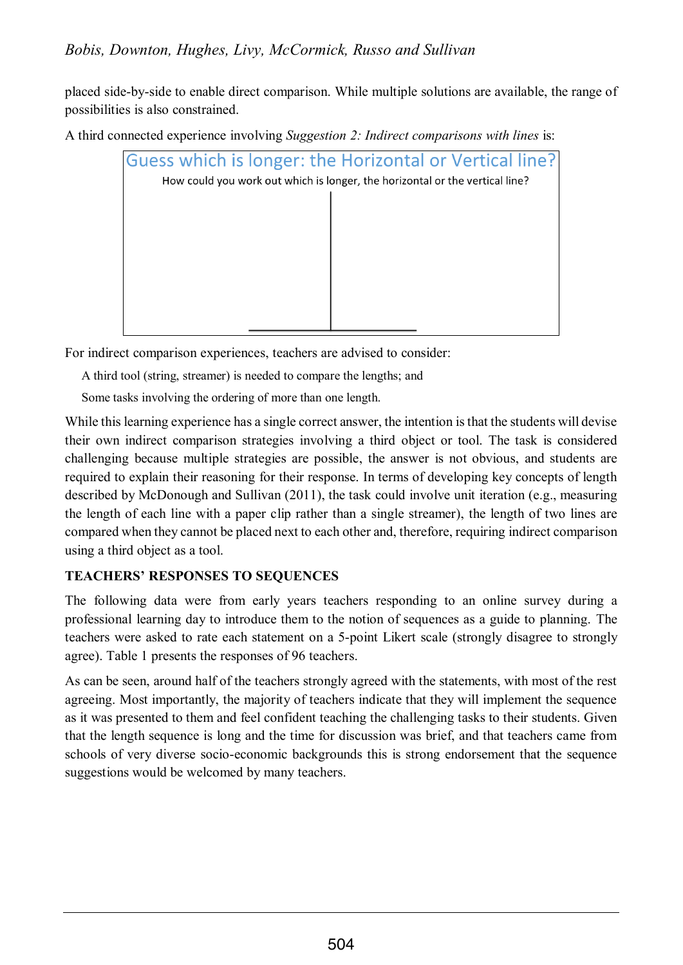placed side-by-side to enable direct comparison. While multiple solutions are available, the range of possibilities is also constrained.

A third connected experience involving *Suggestion 2: Indirect comparisons with lines* is:



For indirect comparison experiences, teachers are advised to consider:

A third tool (string, streamer) is needed to compare the lengths; and

Some tasks involving the ordering of more than one length.

While this learning experience has a single correct answer, the intention is that the students will devise their own indirect comparison strategies involving a third object or tool. The task is considered challenging because multiple strategies are possible, the answer is not obvious, and students are required to explain their reasoning for their response. In terms of developing key concepts of length described by McDonough and Sullivan (2011), the task could involve unit iteration (e.g., measuring the length of each line with a paper clip rather than a single streamer), the length of two lines are compared when they cannot be placed next to each other and, therefore, requiring indirect comparison using a third object as a tool.

# **TEACHERS' RESPONSES TO SEQUENCES**

The following data were from early years teachers responding to an online survey during a professional learning day to introduce them to the notion of sequences as a guide to planning. The teachers were asked to rate each statement on a 5-point Likert scale (strongly disagree to strongly agree). Table 1 presents the responses of 96 teachers.

As can be seen, around half of the teachers strongly agreed with the statements, with most of the rest agreeing. Most importantly, the majority of teachers indicate that they will implement the sequence as it was presented to them and feel confident teaching the challenging tasks to their students. Given that the length sequence is long and the time for discussion was brief, and that teachers came from schools of very diverse socio-economic backgrounds this is strong endorsement that the sequence suggestions would be welcomed by many teachers.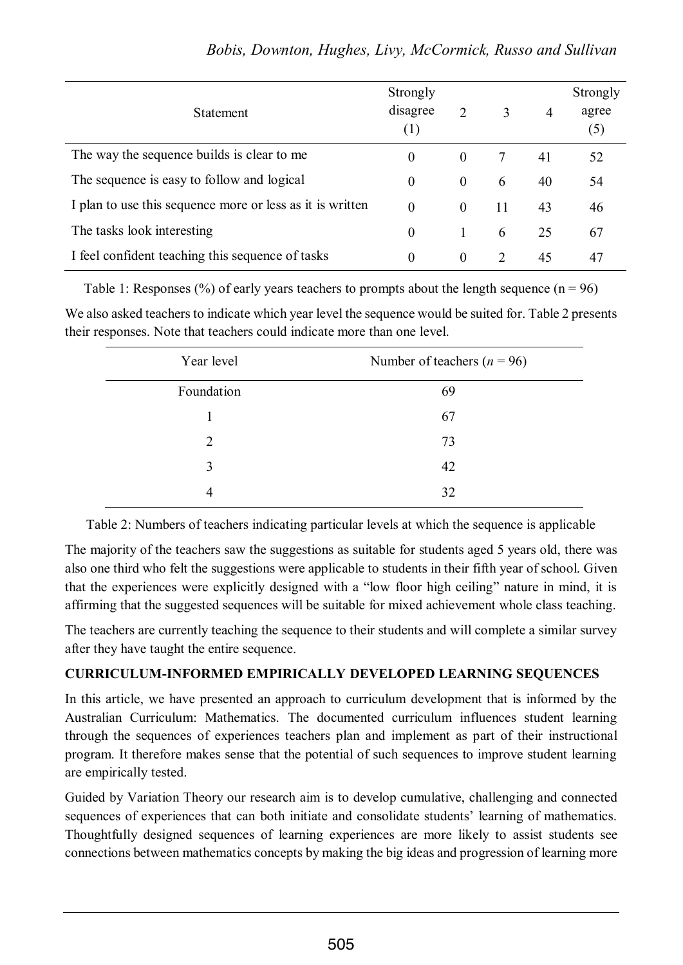| <b>Statement</b>                                          | Strongly<br>disagree<br>(1) | 2        | 3                           | 4  | Strongly<br>agree<br>(5) |
|-----------------------------------------------------------|-----------------------------|----------|-----------------------------|----|--------------------------|
| The way the sequence builds is clear to me                | $\theta$                    | $\theta$ | 7                           | 41 | 52                       |
| The sequence is easy to follow and logical                | $\theta$                    | $\theta$ | 6                           | 40 | 54                       |
| I plan to use this sequence more or less as it is written | $\overline{0}$              | $\theta$ | 11                          | 43 | 46                       |
| The tasks look interesting                                | $\theta$                    |          | 6                           | 25 | 67                       |
| I feel confident teaching this sequence of tasks          | $\theta$                    | $\theta$ | $\mathcal{D}_{\mathcal{L}}$ | 45 | 47                       |

Table 1: Responses (%) of early years teachers to prompts about the length sequence ( $n = 96$ )

We also asked teachers to indicate which year level the sequence would be suited for. Table 2 presents their responses. Note that teachers could indicate more than one level.

| Year level | Number of teachers ( $n = 96$ ) |  |  |
|------------|---------------------------------|--|--|
| Foundation | 69                              |  |  |
|            | 67                              |  |  |
| 2          | 73                              |  |  |
| 3          | 42                              |  |  |
| 4          | 32                              |  |  |

Table 2: Numbers of teachers indicating particular levels at which the sequence is applicable

The majority of the teachers saw the suggestions as suitable for students aged 5 years old, there was also one third who felt the suggestions were applicable to students in their fifth year of school. Given that the experiences were explicitly designed with a "low floor high ceiling" nature in mind, it is affirming that the suggested sequences will be suitable for mixed achievement whole class teaching.

The teachers are currently teaching the sequence to their students and will complete a similar survey after they have taught the entire sequence.

## **CURRICULUM-INFORMED EMPIRICALLY DEVELOPED LEARNING SEQUENCES**

In this article, we have presented an approach to curriculum development that is informed by the Australian Curriculum: Mathematics. The documented curriculum influences student learning through the sequences of experiences teachers plan and implement as part of their instructional program. It therefore makes sense that the potential of such sequences to improve student learning are empirically tested.

Guided by Variation Theory our research aim is to develop cumulative, challenging and connected sequences of experiences that can both initiate and consolidate students' learning of mathematics. Thoughtfully designed sequences of learning experiences are more likely to assist students see connections between mathematics concepts by making the big ideas and progression of learning more